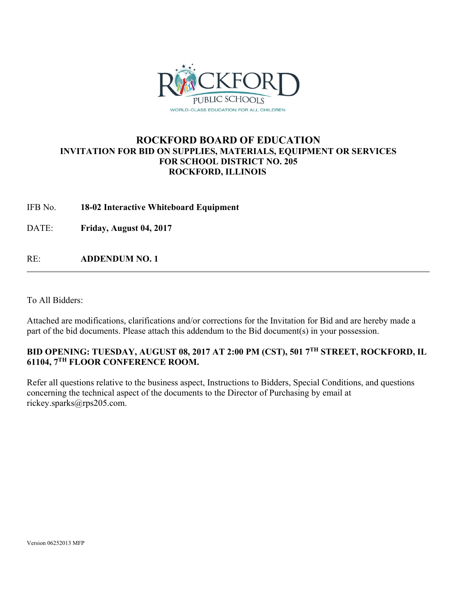

# **ROCKFORD BOARD OF EDUCATION INVITATION FOR BID ON SUPPLIES, MATERIALS, EQUIPMENT OR SERVICES FOR SCHOOL DISTRICT NO. 205 ROCKFORD, ILLINOIS**

# IFB No. **18-02 Interactive Whiteboard Equipment**

DATE: **Friday, August 04, 2017** 

RE: **ADDENDUM NO. 1**

To All Bidders:

Attached are modifications, clarifications and/or corrections for the Invitation for Bid and are hereby made a part of the bid documents. Please attach this addendum to the Bid document(s) in your possession.

# **BID OPENING: TUESDAY, AUGUST 08, 2017 AT 2:00 PM (CST), 501 7TH STREET, ROCKFORD, IL 61104, 7TH FLOOR CONFERENCE ROOM.**

Refer all questions relative to the business aspect, Instructions to Bidders, Special Conditions, and questions concerning the technical aspect of the documents to the Director of Purchasing by email at rickey.sparks@rps205.com.